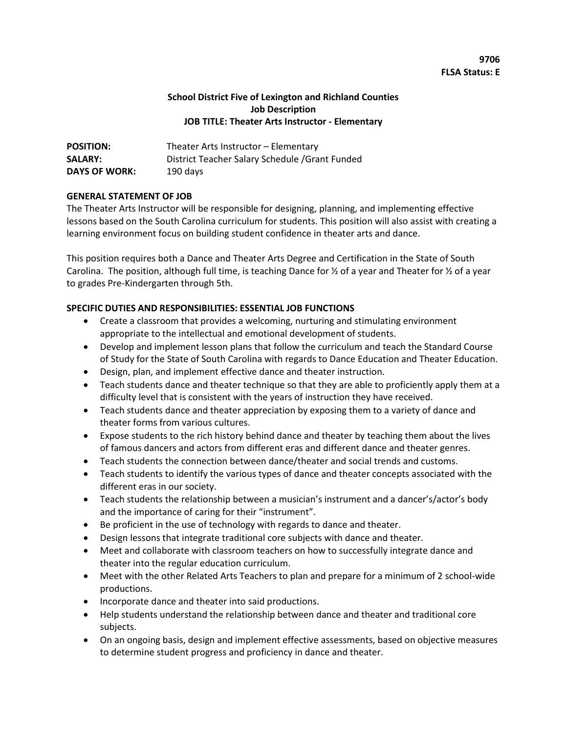# **9706 FLSA Status: E**

### **School District Five of Lexington and Richland Counties Job Description JOB TITLE: Theater Arts Instructor - Elementary**

| <b>POSITION:</b>     | Theater Arts Instructor – Elementary            |
|----------------------|-------------------------------------------------|
| <b>SALARY:</b>       | District Teacher Salary Schedule / Grant Funded |
| <b>DAYS OF WORK:</b> | 190 days                                        |

### **GENERAL STATEMENT OF JOB**

The Theater Arts Instructor will be responsible for designing, planning, and implementing effective lessons based on the South Carolina curriculum for students. This position will also assist with creating a learning environment focus on building student confidence in theater arts and dance.

This position requires both a Dance and Theater Arts Degree and Certification in the State of South Carolina. The position, although full time, is teaching Dance for  $\frac{1}{2}$  of a year and Theater for  $\frac{1}{2}$  of a year to grades Pre-Kindergarten through 5th.

### **SPECIFIC DUTIES AND RESPONSIBILITIES: ESSENTIAL JOB FUNCTIONS**

- Create a classroom that provides a welcoming, nurturing and stimulating environment appropriate to the intellectual and emotional development of students.
- Develop and implement lesson plans that follow the curriculum and teach the Standard Course of Study for the State of South Carolina with regards to Dance Education and Theater Education.
- Design, plan, and implement effective dance and theater instruction.
- Teach students dance and theater technique so that they are able to proficiently apply them at a difficulty level that is consistent with the years of instruction they have received.
- Teach students dance and theater appreciation by exposing them to a variety of dance and theater forms from various cultures.
- Expose students to the rich history behind dance and theater by teaching them about the lives of famous dancers and actors from different eras and different dance and theater genres.
- Teach students the connection between dance/theater and social trends and customs.
- Teach students to identify the various types of dance and theater concepts associated with the different eras in our society.
- Teach students the relationship between a musician's instrument and a dancer's/actor's body and the importance of caring for their "instrument".
- Be proficient in the use of technology with regards to dance and theater.
- Design lessons that integrate traditional core subjects with dance and theater.
- Meet and collaborate with classroom teachers on how to successfully integrate dance and theater into the regular education curriculum.
- Meet with the other Related Arts Teachers to plan and prepare for a minimum of 2 school-wide productions.
- Incorporate dance and theater into said productions.
- Help students understand the relationship between dance and theater and traditional core subjects.
- On an ongoing basis, design and implement effective assessments, based on objective measures to determine student progress and proficiency in dance and theater.